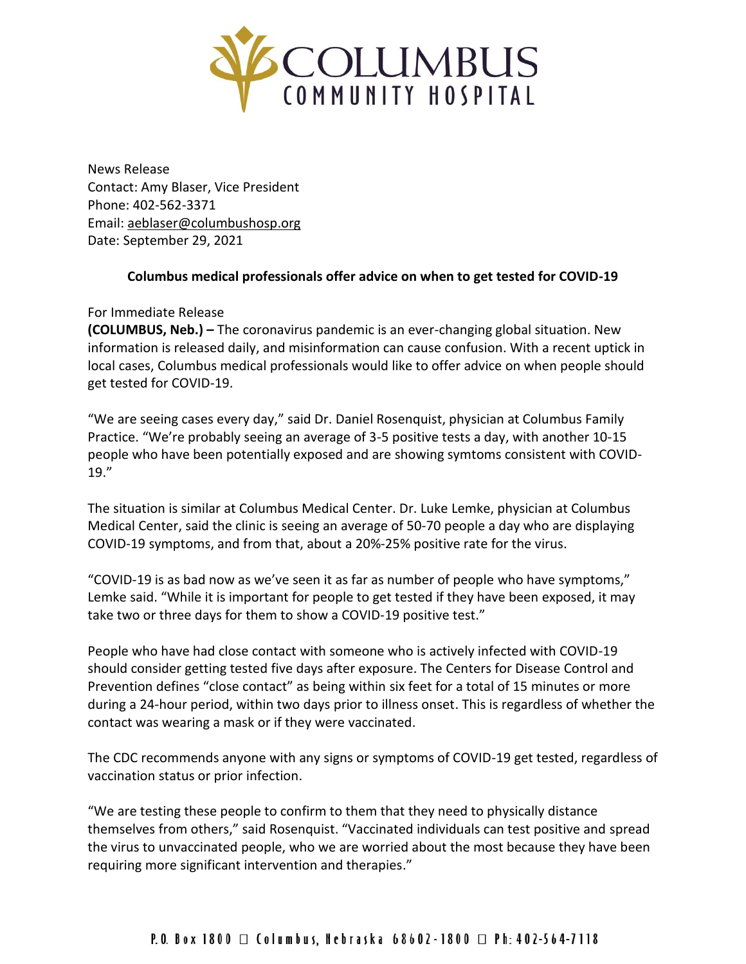

News Release Contact: Amy Blaser, Vice President Phone: 402-562-3371 Email: [aeblaser@columbushosp.org](mailto:aeblaser@columbushosp.org) Date: September 29, 2021

## **Columbus medical professionals offer advice on when to get tested for COVID-19**

## For Immediate Release

**(COLUMBUS, Neb.) –** The coronavirus pandemic is an ever-changing global situation. New information is released daily, and misinformation can cause confusion. With a recent uptick in local cases, Columbus medical professionals would like to offer advice on when people should get tested for COVID-19.

"We are seeing cases every day," said Dr. Daniel Rosenquist, physician at Columbus Family Practice. "We're probably seeing an average of 3-5 positive tests a day, with another 10-15 people who have been potentially exposed and are showing symtoms consistent with COVID-19."

The situation is similar at Columbus Medical Center. Dr. Luke Lemke, physician at Columbus Medical Center, said the clinic is seeing an average of 50-70 people a day who are displaying COVID-19 symptoms, and from that, about a 20%-25% positive rate for the virus.

"COVID-19 is as bad now as we've seen it as far as number of people who have symptoms," Lemke said. "While it is important for people to get tested if they have been exposed, it may take two or three days for them to show a COVID-19 positive test."

People who have had close contact with someone who is actively infected with COVID-19 should consider getting tested five days after exposure. The Centers for Disease Control and Prevention defines "close contact" as being within six feet for a total of 15 minutes or more during a 24-hour period, within two days prior to illness onset. This is regardless of whether the contact was wearing a mask or if they were vaccinated.

The CDC recommends anyone with any signs or symptoms of COVID-19 get tested, regardless of vaccination status or prior infection.

"We are testing these people to confirm to them that they need to physically distance themselves from others," said Rosenquist. "Vaccinated individuals can test positive and spread the virus to unvaccinated people, who we are worried about the most because they have been requiring more significant intervention and therapies."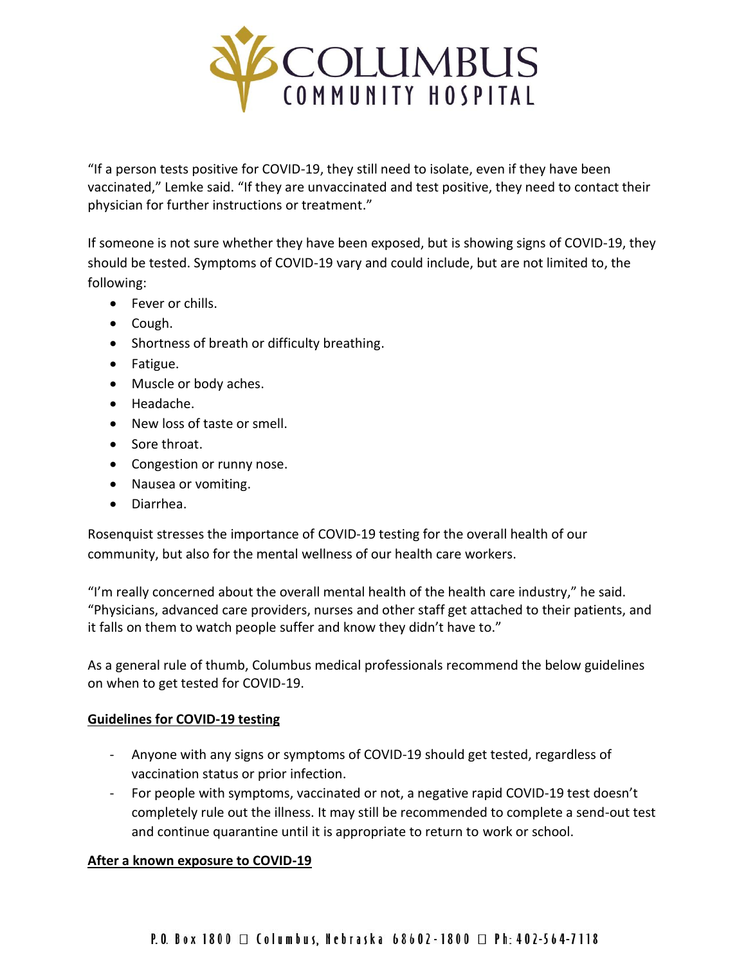

"If a person tests positive for COVID-19, they still need to isolate, even if they have been vaccinated," Lemke said. "If they are unvaccinated and test positive, they need to contact their physician for further instructions or treatment."

If someone is not sure whether they have been exposed, but is showing signs of COVID-19, they should be tested. Symptoms of COVID-19 vary and could include, but are not limited to, the following:

- Fever or chills.
- Cough.
- Shortness of breath or difficulty breathing.
- Fatigue.
- Muscle or body aches.
- Headache.
- New loss of taste or smell.
- Sore throat.
- Congestion or runny nose.
- Nausea or vomiting.
- Diarrhea.

Rosenquist stresses the importance of COVID-19 testing for the overall health of our community, but also for the mental wellness of our health care workers.

"I'm really concerned about the overall mental health of the health care industry," he said. "Physicians, advanced care providers, nurses and other staff get attached to their patients, and it falls on them to watch people suffer and know they didn't have to."

As a general rule of thumb, Columbus medical professionals recommend the below guidelines on when to get tested for COVID-19.

## **Guidelines for COVID-19 testing**

- Anyone with any signs or [symptoms of COVID-19](https://www.cdc.gov/coronavirus/2019-ncov/symptoms-testing/symptoms.html?CDC_AA_refVal=https%3A%2F%2Fwww.cdc.gov%2Fcoronavirus%2F2019-ncov%2Fabout%2Fsymptoms.html%22%20%5C) should get tested, regardless of vaccination status or prior infection.
- For people with symptoms, vaccinated or not, a negative rapid COVID-19 test doesn't completely rule out the illness. It may still be recommended to complete a send-out test and continue quarantine until it is appropriate to return to work or school.

## **After a known exposure to COVID-19**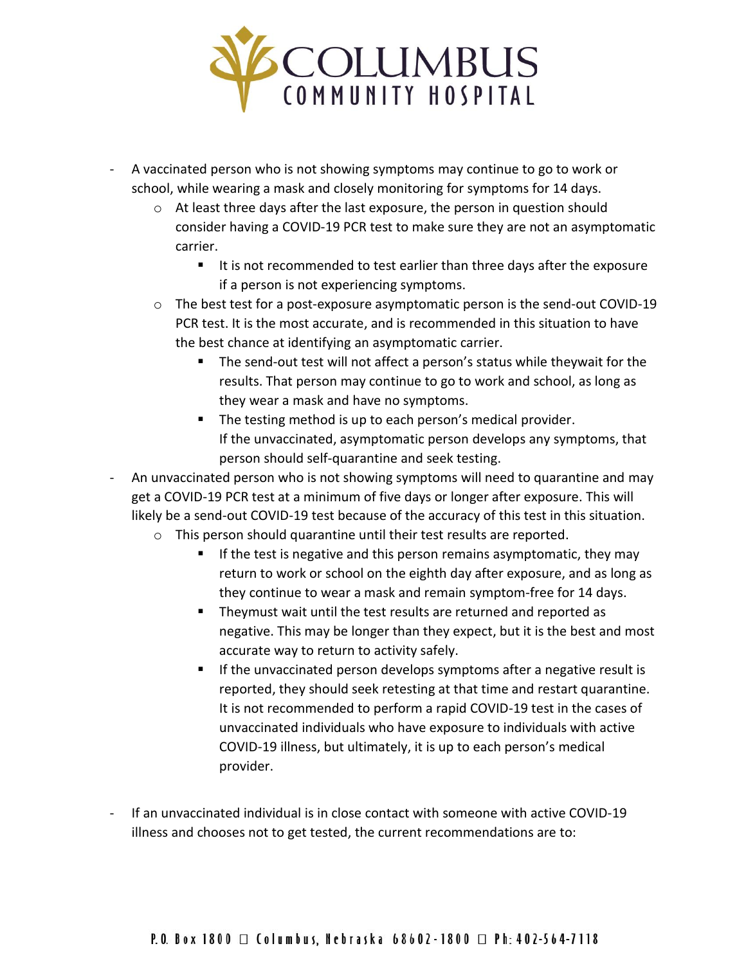

- A vaccinated person who is not showing symptoms may continue to go to work or school, while wearing a mask and closely monitoring for symptoms for 14 days.
	- o At least three days after the last exposure, the person in question should consider having a COVID-19 PCR test to make sure they are not an asymptomatic carrier.
		- It is not recommended to test earlier than three days after the exposure if a person is not experiencing symptoms.
	- $\circ$  The best test for a post-exposure asymptomatic person is the send-out COVID-19 PCR test. It is the most accurate, and is recommended in this situation to have the best chance at identifying an asymptomatic carrier.
		- The send-out test will not affect a person's status while theywait for the results. That person may continue to go to work and school, as long as they wear a mask and have no symptoms.
		- The testing method is up to each person's medical provider. If the unvaccinated, asymptomatic person develops any symptoms, that person should self-quarantine and seek testing.
- An unvaccinated person who is not showing symptoms will need to quarantine and may get a COVID-19 PCR test at a minimum of five days or longer after exposure. This will likely be a send-out COVID-19 test because of the accuracy of this test in this situation.
	- o This person should quarantine until their test results are reported.
		- If the test is negative and this person remains asymptomatic, they may return to work or school on the eighth day after exposure, and as long as they continue to wear a mask and remain symptom-free for 14 days.
		- Theymust wait until the test results are returned and reported as negative. This may be longer than they expect, but it is the best and most accurate way to return to activity safely.
		- If the unvaccinated person develops symptoms after a negative result is reported, they should seek retesting at that time and restart quarantine. It is not recommended to perform a rapid COVID-19 test in the cases of unvaccinated individuals who have exposure to individuals with active COVID-19 illness, but ultimately, it is up to each person's medical provider.
- If an unvaccinated individual is in close contact with someone with active COVID-19 illness and chooses not to get tested, the current recommendations are to: